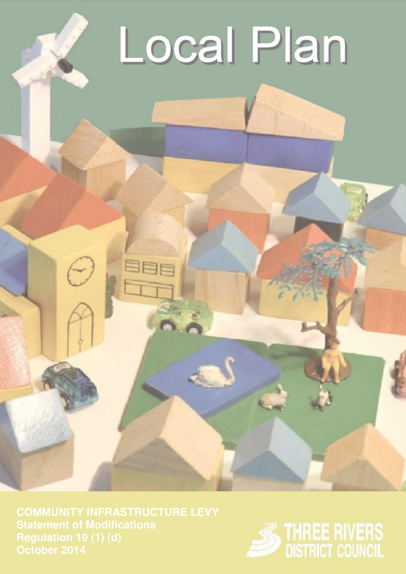# Local Plan

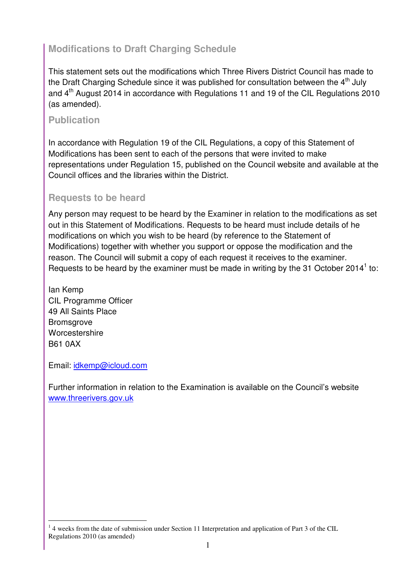# **Modifications to Draft Charging Schedule**

This statement sets out the modifications which Three Rivers District Council has made to the Draft Charging Schedule since it was published for consultation between the  $4<sup>th</sup>$  July and 4th August 2014 in accordance with Regulations 11 and 19 of the CIL Regulations 2010 (as amended).

### **Publication**

In accordance with Regulation 19 of the CIL Regulations, a copy of this Statement of Modifications has been sent to each of the persons that were invited to make representations under Regulation 15, published on the Council website and available at the Council offices and the libraries within the District.

## **Requests to be heard**

Any person may request to be heard by the Examiner in relation to the modifications as set out in this Statement of Modifications. Requests to be heard must include details of he modifications on which you wish to be heard (by reference to the Statement of Modifications) together with whether you support or oppose the modification and the reason. The Council will submit a copy of each request it receives to the examiner. Requests to be heard by the examiner must be made in writing by the 31 October 2014<sup>1</sup> to:

Ian Kemp CIL Programme Officer 49 All Saints Place **Bromsgrove** Worcestershire B61 0AX

Email: idkemp@icloud.com

 $\overline{a}$ 

Further information in relation to the Examination is available on the Council's website www.threerivers.gov.uk

<sup>&</sup>lt;sup>1</sup> 4 weeks from the date of submission under Section 11 Interpretation and application of Part 3 of the CIL Regulations 2010 (as amended)